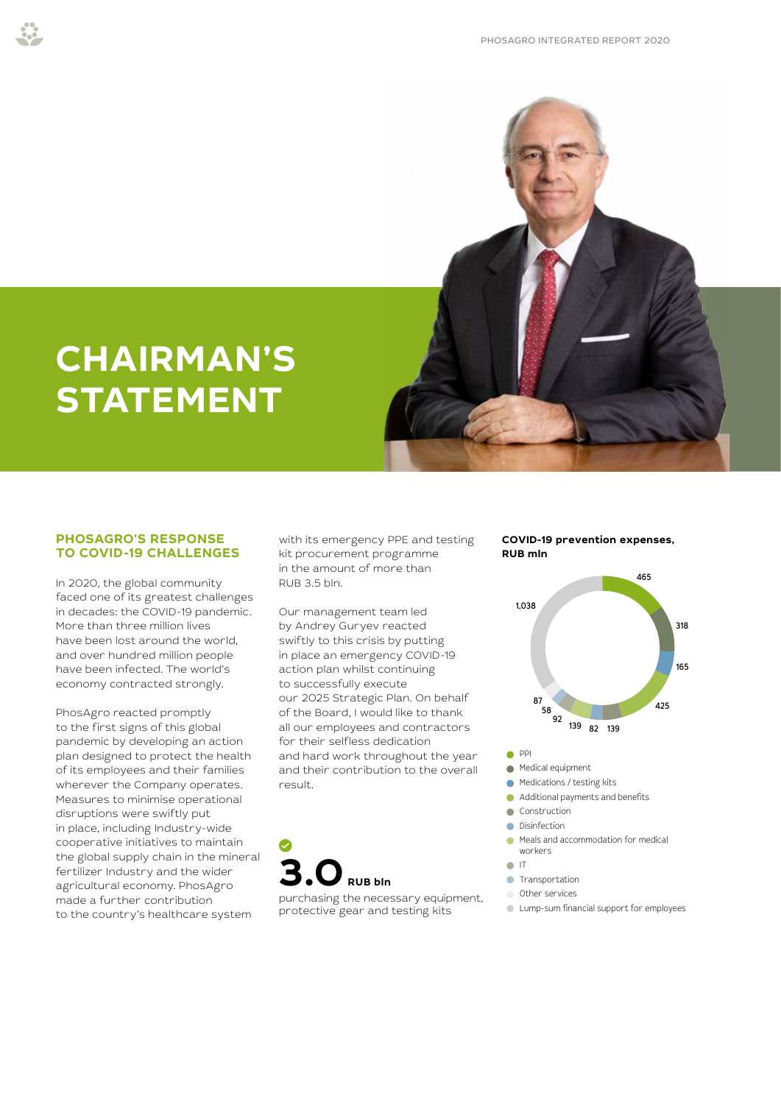

# **CHAIRMAN'S STATEMENT**

# **PHOSAGRO'S RESPONSE TO COVID-19 CHALLENGES**

In 2020, the global community faced one of its greatest challenges in decades: the COVID-19 pandemic. More than three million lives have been lost around the world, and over hundred million people have been infected. The world's economy contracted strongly.

PhosAgro reacted promptly to the first signs of this global pandemic by developing an action plan designed to protect the health of its employees and their families wherever the Company operates. Measures to minimise operational disruptions were swiftly put in place, including Industry-wide cooperative initiatives to maintain the global supply chain in the mineral fertilizer Industry and the wider agricultural economy. PhosAgro made a further contribution to the country's healthcare system

with its emergency PPE and testing kit procurement programme in the amount of more than RUB 3.5 bln.

Our management team led by Andrey Guryev reacted swiftly to this crisis by putting in place an emergency COVID-19 action plan whilst continuing to successfully execute our 2025 Strategic Plan. On behalf of the Board, I would like to thank all our employees and contractors for their selfless dedication and hard work throughout the year and their contribution to the overall result.



purchasing the necessary equipment, protective gear and testing kits

#### **COVID-19 prevention expenses, RUB mln**



- $\bullet$  PPI
- **Medical equipment**
- Medications / testing kits
- Additional payments and benefits
- Construction **Disinfection** 
	-
- Meals and accommodation for medical workers
- $\bullet$  IT
- **C** Transportation
- Other services
- Lump-sum financial support for employees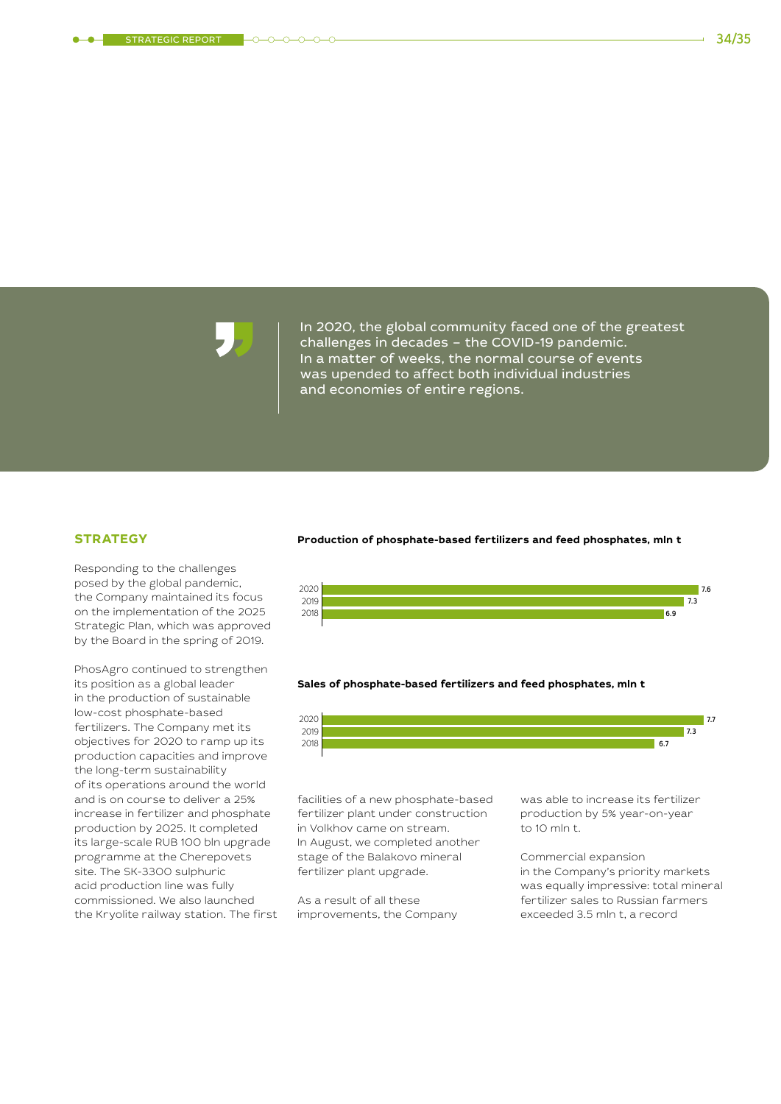challenges in decades - the COVID-19 pandemic. 2,3 2019 In a matter of weeks, the normal course of events m a matter of weeks, the normal coal se or event. In 2020, the global community faced one of the greatest and economies of entire regions.

# **STRATEGY**

Responding to the challenges posed by the global pandemic, the Company maintained its focus on the implementation of the 2025 Strategic Plan, which was approved by the Board in the spring of 2019.

PhosAgro continued to strengthen its position as a global leader in the production of sustainable low-cost phosphate-based fertilizers. The Company met its objectives for 2020 to ramp up its production capacities and improve the long-term sustainability of its operations around the world and is on course to deliver a 25% increase in fertilizer and phosphate production by 2025. It completed its large-scale RUB 100 bln upgrade programme at the Cherepovets site. The SK-3300 sulphuric acid production line was fully commissioned. We also launched the Kryolite railway station. The first

#### **Production of phosphate-based fertilizers and feed phosphates, mln t**



#### **Sales of phosphate-based fertilizers and feed phosphates, mln t**

![](_page_1_Figure_11.jpeg)

facilities of a new phosphate-based fertilizer plant under construction in Volkhov came on stream. In August, we completed another stage of the Balakovo mineral fertilizer plant upgrade.

As a result of all these improvements, the Company was able to increase its fertilizer production by 5% year-on-year to 10 mln t.

Commercial expansion in the Company's priority markets was equally impressive: total mineral fertilizer sales to Russian farmers exceeded 3.5 mln t, a record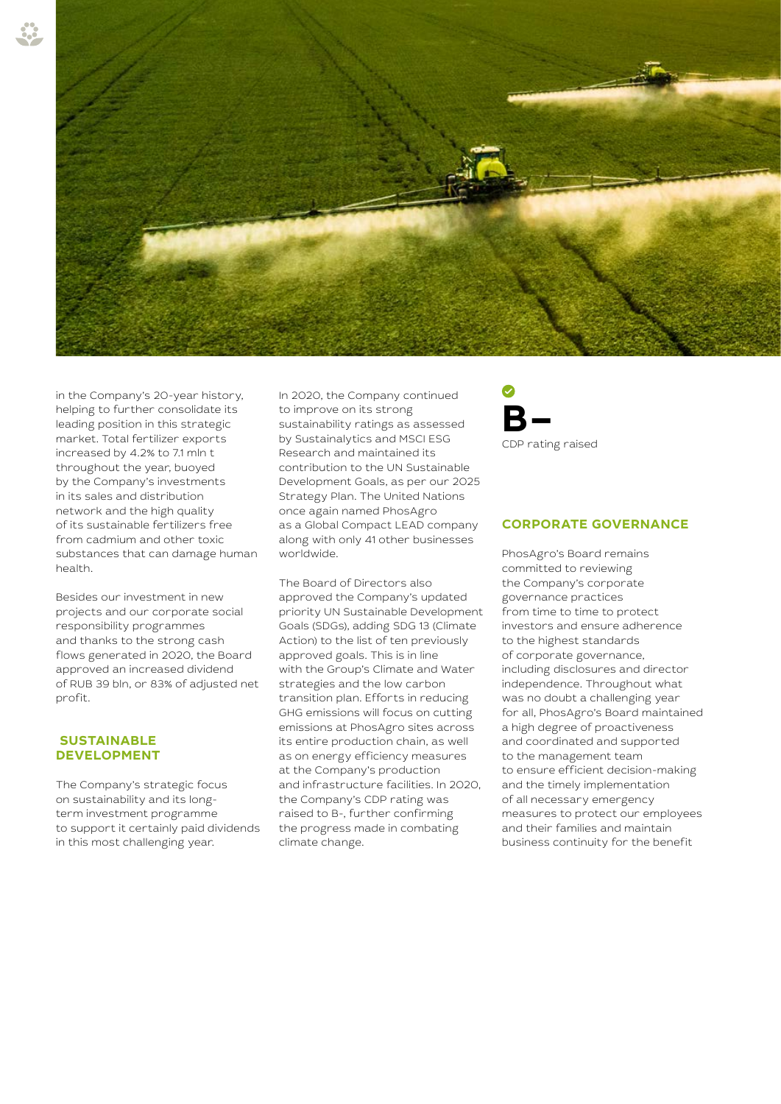![](_page_2_Picture_0.jpeg)

in the Company's 20-year history, helping to further consolidate its leading position in this strategic market. Total fertilizer exports increased by 4.2% to 7.1 mln t throughout the year, buoyed by the Company's investments in its sales and distribution network and the high quality of its sustainable fertilizers free from cadmium and other toxic substances that can damage human health.

Besides our investment in new projects and our corporate social responsibility programmes and thanks to the strong cash flows generated in 2020, the Board approved an increased dividend of RUB 39 bln, or 83% of adjusted net profit.

# **SUSTAINABLE DEVELOPMENT**

The Company's strategic focus on sustainability and its longterm investment programme to support it certainly paid dividends in this most challenging year.

In 2020, the Company continued to improve on its strong sustainability ratings as assessed by Sustainalytics and MSCI ESG Research and maintained its contribution to the UN Sustainable Development Goals, as per our 2025 Strategy Plan. The United Nations once again named PhosAgro as a Global Compact LEAD company along with only 41 other businesses worldwide.

The Board of Directors also approved the Company's updated priority UN Sustainable Development Goals (SDGs), adding SDG 13 (Climate Action) to the list of ten previously approved goals. This is in line with the Group's Climate and Water strategies and the low carbon transition plan. Efforts in reducing GHG emissions will focus on cutting emissions at PhosAgro sites across its entire production chain, as well as on energy efficiency measures at the Company's production and infrastructure facilities. In 2020, the Company's CDP rating was raised to B-, further confirming the progress made in combating climate change.

![](_page_2_Picture_7.jpeg)

# **CORPORATE GOVERNANCE**

PhosAgro's Board remains committed to reviewing the Company's corporate governance practices from time to time to protect investors and ensure adherence to the highest standards of corporate governance, including disclosures and director independence. Throughout what was no doubt a challenging year for all, PhosAgro's Board maintained a high degree of proactiveness and coordinated and supported to the management team to ensure efficient decision-making and the timely implementation of all necessary emergency measures to protect our employees and their families and maintain business continuity for the benefit